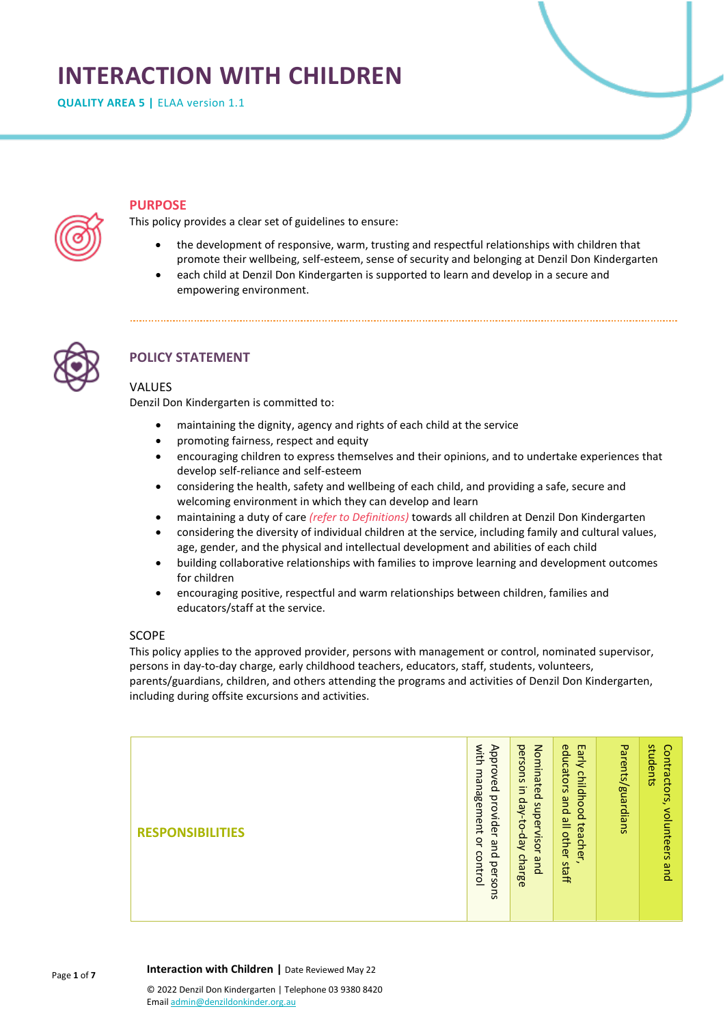# **INTERACTION WITH CHILDREN**

**QUALITY AREA 5 | ELAA version 1.1** 



# **PURPOSE**

This policy provides a clear set of guidelines to ensure:

- the development of responsive, warm, trusting and respectful relationships with children that promote their wellbeing, self-esteem, sense of security and belonging at Denzil Don Kindergarten
- each child at Denzil Don Kindergarten is supported to learn and develop in a secure and empowering environment.



# **POLICY STATEMENT**

# **VALUES**

Denzil Don Kindergarten is committed to:

- maintaining the dignity, agency and rights of each child at the service
- promoting fairness, respect and equity
- encouraging children to express themselves and their opinions, and to undertake experiences that develop self-reliance and self-esteem
- considering the health, safety and wellbeing of each child, and providing a safe, secure and welcoming environment in which they can develop and learn
- maintaining a duty of care *(refer to Definitions)* towards all children at Denzil Don Kindergarten
- considering the diversity of individual children at the service, including family and cultural values, age, gender, and the physical and intellectual development and abilities of each child
- building collaborative relationships with families to improve learning and development outcomes for children
- encouraging positive, respectful and warm relationships between children, families and educators/staff at the service.

# SCOPE

This policy applies to the approved provider, persons with management or control, nominated supervisor, persons in day-to-day charge, early childhood teachers, educators, staff, students, volunteers, parents/guardians, children, and others attending the programs and activities of Denzil Don Kindergarten, including during offsite excursions and activities.

| <b>RESPONSIBILITIES</b> | with<br>Approved<br>з<br>gi<br>agement<br>provider<br>$\mathbf{Q}$<br>Θ<br>control<br>$\Omega$<br>perso<br>SJ. | persons<br>Nominated<br>Ξ.<br>day-to-day<br>supervisor<br>charge<br>pue | educators<br>Early<br>childhood<br>pue<br>일<br>teacher<br>other<br>staff | Parents/<br>guardians | students<br>Contractors,<br>volunteers<br>gind |
|-------------------------|----------------------------------------------------------------------------------------------------------------|-------------------------------------------------------------------------|--------------------------------------------------------------------------|-----------------------|------------------------------------------------|
|-------------------------|----------------------------------------------------------------------------------------------------------------|-------------------------------------------------------------------------|--------------------------------------------------------------------------|-----------------------|------------------------------------------------|

Page **1** of **7 Interaction with Children |** Date Reviewed May 22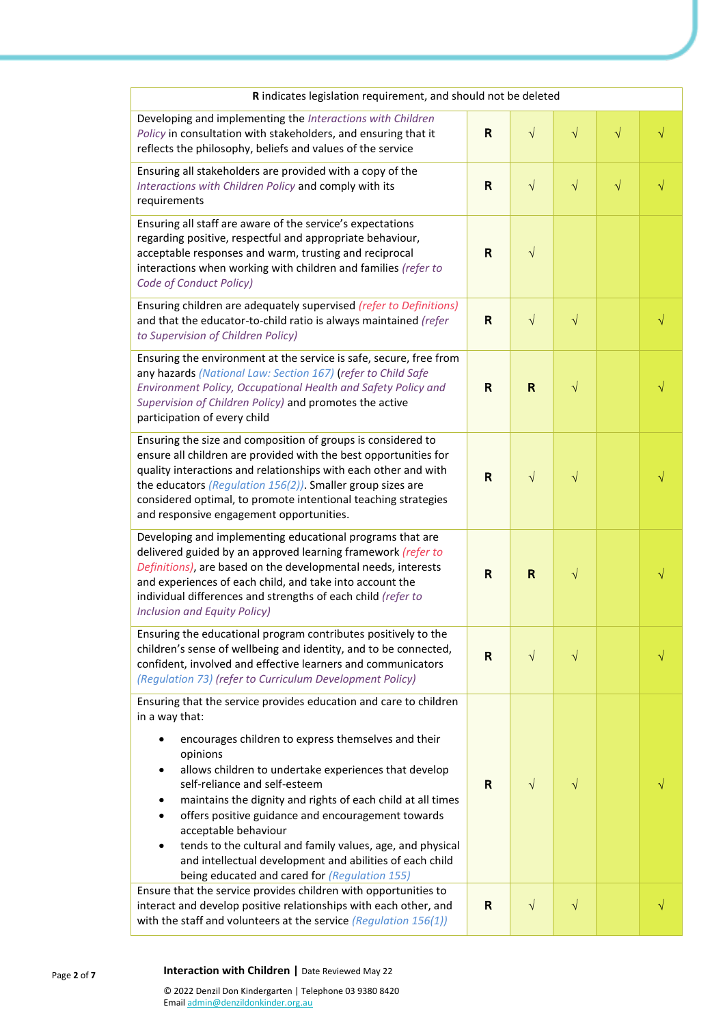| R indicates legislation requirement, and should not be deleted                                                                                                                                                                                                                                                                                                                                                                                                                                                                                                                        |    |              |           |           |   |
|---------------------------------------------------------------------------------------------------------------------------------------------------------------------------------------------------------------------------------------------------------------------------------------------------------------------------------------------------------------------------------------------------------------------------------------------------------------------------------------------------------------------------------------------------------------------------------------|----|--------------|-----------|-----------|---|
| Developing and implementing the Interactions with Children<br>Policy in consultation with stakeholders, and ensuring that it<br>reflects the philosophy, beliefs and values of the service                                                                                                                                                                                                                                                                                                                                                                                            | R  | $\sqrt{ }$   | $\sqrt{}$ | $\sqrt{}$ | √ |
| Ensuring all stakeholders are provided with a copy of the<br>Interactions with Children Policy and comply with its<br>requirements                                                                                                                                                                                                                                                                                                                                                                                                                                                    | R  | $\sqrt{ }$   | $\sqrt{}$ | $\sqrt{}$ |   |
| Ensuring all staff are aware of the service's expectations<br>regarding positive, respectful and appropriate behaviour,<br>acceptable responses and warm, trusting and reciprocal<br>interactions when working with children and families (refer to<br>Code of Conduct Policy)                                                                                                                                                                                                                                                                                                        | R  | $\sqrt{ }$   |           |           |   |
| Ensuring children are adequately supervised (refer to Definitions)<br>and that the educator-to-child ratio is always maintained (refer<br>to Supervision of Children Policy)                                                                                                                                                                                                                                                                                                                                                                                                          | R  | $\sqrt{ }$   | $\sqrt{}$ |           |   |
| Ensuring the environment at the service is safe, secure, free from<br>any hazards (National Law: Section 167) (refer to Child Safe<br>Environment Policy, Occupational Health and Safety Policy and<br>Supervision of Children Policy) and promotes the active<br>participation of every child                                                                                                                                                                                                                                                                                        | R  | $\mathsf{R}$ | $\sqrt{}$ |           |   |
| Ensuring the size and composition of groups is considered to<br>ensure all children are provided with the best opportunities for<br>quality interactions and relationships with each other and with<br>the educators (Regulation $156(2)$ ). Smaller group sizes are<br>considered optimal, to promote intentional teaching strategies<br>and responsive engagement opportunities.                                                                                                                                                                                                    | R  | $\sqrt{ }$   | $\sqrt{}$ |           |   |
| Developing and implementing educational programs that are<br>delivered guided by an approved learning framework (refer to<br>Definitions), are based on the developmental needs, interests<br>and experiences of each child, and take into account the<br>individual differences and strengths of each child (refer to<br><b>Inclusion and Equity Policy)</b>                                                                                                                                                                                                                         | R  | R            | $\sqrt{}$ |           |   |
| Ensuring the educational program contributes positively to the<br>children's sense of wellbeing and identity, and to be connected,<br>confident, involved and effective learners and communicators<br>(Regulation 73) (refer to Curriculum Development Policy)                                                                                                                                                                                                                                                                                                                        | R  | $\sqrt{}$    | $\sqrt{}$ |           |   |
| Ensuring that the service provides education and care to children<br>in a way that:<br>encourages children to express themselves and their<br>opinions<br>allows children to undertake experiences that develop<br>self-reliance and self-esteem<br>maintains the dignity and rights of each child at all times<br>offers positive guidance and encouragement towards<br>acceptable behaviour<br>tends to the cultural and family values, age, and physical<br>$\bullet$<br>and intellectual development and abilities of each child<br>being educated and cared for (Regulation 155) | R. | $\sqrt{ }$   | $\sqrt{}$ |           |   |
| Ensure that the service provides children with opportunities to<br>interact and develop positive relationships with each other, and<br>with the staff and volunteers at the service (Regulation 156(1))                                                                                                                                                                                                                                                                                                                                                                               | R  | $\sqrt{ }$   | $\sqrt{}$ |           |   |

# **Interaction with Children |** Date Reviewed May 22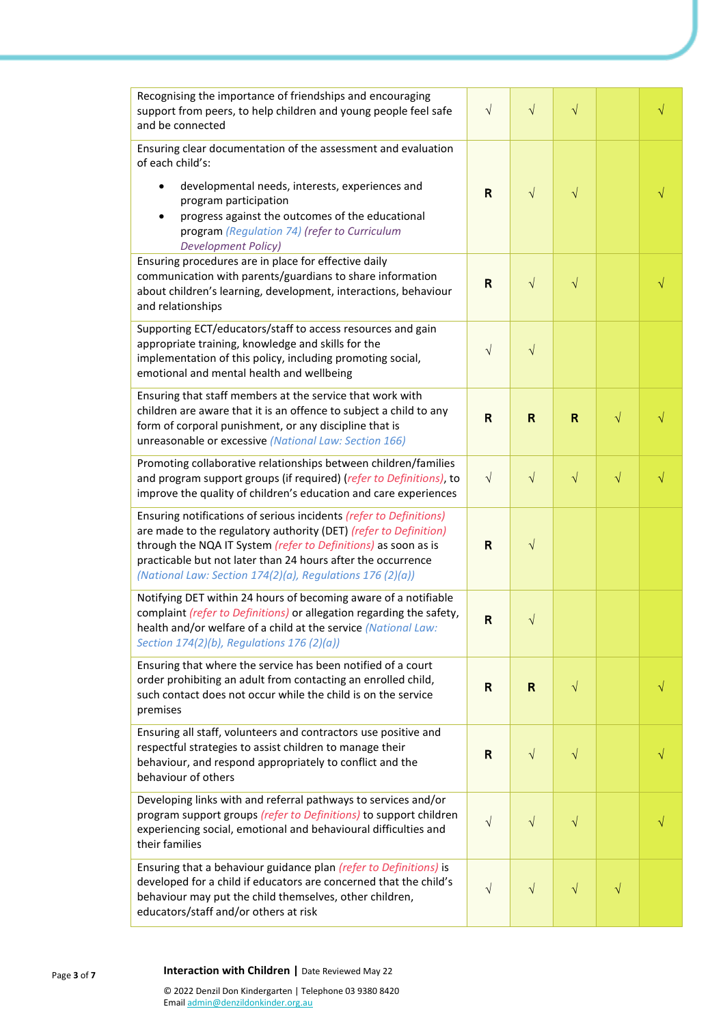| Recognising the importance of friendships and encouraging<br>support from peers, to help children and young people feel safe<br>and be connected                                                                                                                                                                                      | $\sqrt{}$    | $\sqrt{}$   | $\sqrt{}$    |           |  |
|---------------------------------------------------------------------------------------------------------------------------------------------------------------------------------------------------------------------------------------------------------------------------------------------------------------------------------------|--------------|-------------|--------------|-----------|--|
| Ensuring clear documentation of the assessment and evaluation<br>of each child's:                                                                                                                                                                                                                                                     |              |             |              |           |  |
| developmental needs, interests, experiences and<br>program participation<br>progress against the outcomes of the educational<br>program (Regulation 74) (refer to Curriculum<br><b>Development Policy)</b>                                                                                                                            | R            | $\sqrt{ }$  | $\sqrt{}$    |           |  |
| Ensuring procedures are in place for effective daily<br>communication with parents/guardians to share information<br>about children's learning, development, interactions, behaviour<br>and relationships                                                                                                                             | $\mathsf{R}$ | $\sqrt{ }$  | $\sqrt{}$    |           |  |
| Supporting ECT/educators/staff to access resources and gain<br>appropriate training, knowledge and skills for the<br>implementation of this policy, including promoting social,<br>emotional and mental health and wellbeing                                                                                                          | $\sqrt{}$    | $\sqrt{}$   |              |           |  |
| Ensuring that staff members at the service that work with<br>children are aware that it is an offence to subject a child to any<br>form of corporal punishment, or any discipline that is<br>unreasonable or excessive (National Law: Section 166)                                                                                    | $\mathsf{R}$ | R           | $\mathsf{R}$ | $\sqrt{}$ |  |
| Promoting collaborative relationships between children/families<br>and program support groups (if required) (refer to Definitions), to<br>improve the quality of children's education and care experiences                                                                                                                            | $\sqrt{}$    | $\sqrt{}$   | $\sqrt{}$    | $\sqrt{}$ |  |
| Ensuring notifications of serious incidents (refer to Definitions)<br>are made to the regulatory authority (DET) (refer to Definition)<br>through the NQA IT System (refer to Definitions) as soon as is<br>practicable but not later than 24 hours after the occurrence<br>(National Law: Section 174(2)(a), Regulations 176 (2)(a)) | $\mathsf{R}$ | $\sqrt{}$   |              |           |  |
| Notifying DET within 24 hours of becoming aware of a notifiable<br>complaint (refer to Definitions) or allegation regarding the safety,<br>health and/or welfare of a child at the service (National Law:<br>Section $174(2)(b)$ , Regulations $176(2)(a)$ )                                                                          | $\mathsf{R}$ | $\sqrt{}$   |              |           |  |
| Ensuring that where the service has been notified of a court<br>order prohibiting an adult from contacting an enrolled child,<br>such contact does not occur while the child is on the service<br>premises                                                                                                                            | $\mathsf{R}$ | $\mathsf R$ | $\sqrt{}$    |           |  |
| Ensuring all staff, volunteers and contractors use positive and<br>respectful strategies to assist children to manage their<br>behaviour, and respond appropriately to conflict and the<br>behaviour of others                                                                                                                        | R            | $\sqrt{ }$  | $\sqrt{}$    |           |  |
| Developing links with and referral pathways to services and/or<br>program support groups (refer to Definitions) to support children<br>experiencing social, emotional and behavioural difficulties and<br>their families                                                                                                              | $\sqrt{}$    | $\sqrt{}$   | $\sqrt{}$    |           |  |
| Ensuring that a behaviour guidance plan (refer to Definitions) is<br>developed for a child if educators are concerned that the child's<br>behaviour may put the child themselves, other children,<br>educators/staff and/or others at risk                                                                                            | $\sqrt{}$    | $\sqrt{}$   | $\sqrt{}$    | $\sqrt{}$ |  |

#### Page **3** of **7**

## **Interaction with Children |** Date Reviewed May 22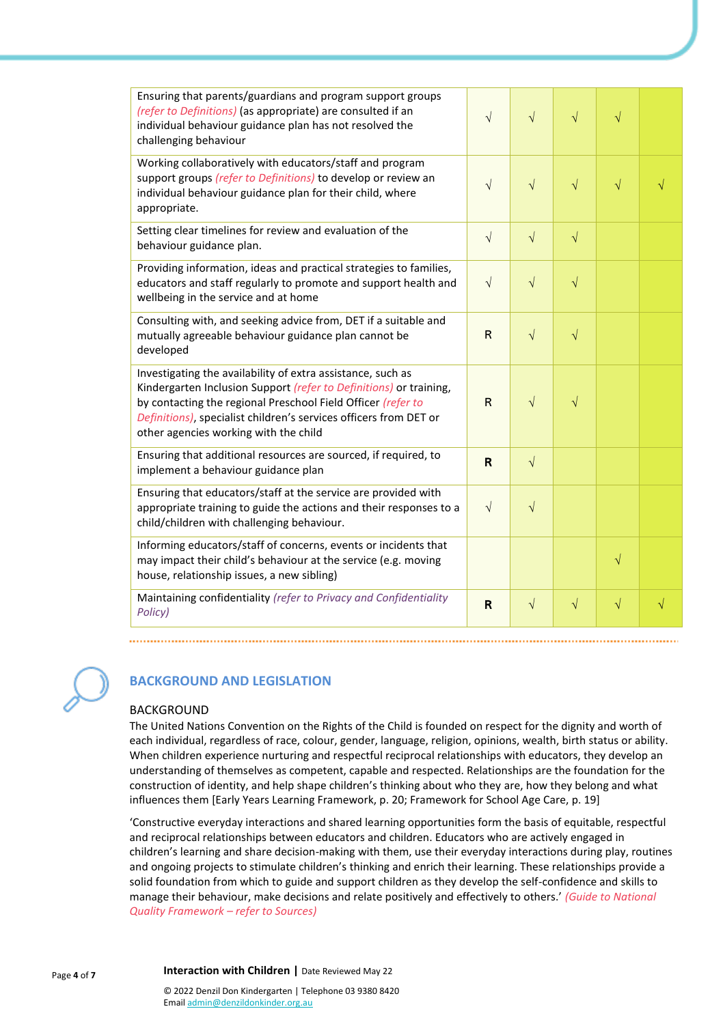| Ensuring that parents/guardians and program support groups<br>(refer to Definitions) (as appropriate) are consulted if an<br>individual behaviour guidance plan has not resolved the<br>challenging behaviour                                                                                                   | $\sqrt{}$    | $\sqrt{ }$ | $\sqrt{}$ | $\sqrt{}$ |           |
|-----------------------------------------------------------------------------------------------------------------------------------------------------------------------------------------------------------------------------------------------------------------------------------------------------------------|--------------|------------|-----------|-----------|-----------|
| Working collaboratively with educators/staff and program<br>support groups (refer to Definitions) to develop or review an<br>individual behaviour guidance plan for their child, where<br>appropriate.                                                                                                          | $\sqrt{}$    | $\sqrt{ }$ | $\sqrt{}$ | $\sqrt{}$ |           |
| Setting clear timelines for review and evaluation of the<br>behaviour guidance plan.                                                                                                                                                                                                                            | $\sqrt{}$    | $\sqrt{}$  | $\sqrt{}$ |           |           |
| Providing information, ideas and practical strategies to families,<br>educators and staff regularly to promote and support health and<br>wellbeing in the service and at home                                                                                                                                   | $\sqrt{}$    | $\sqrt{ }$ | $\sqrt{}$ |           |           |
| Consulting with, and seeking advice from, DET if a suitable and<br>mutually agreeable behaviour guidance plan cannot be<br>developed                                                                                                                                                                            | $\mathsf{R}$ | $\sqrt{ }$ | $\sqrt{}$ |           |           |
| Investigating the availability of extra assistance, such as<br>Kindergarten Inclusion Support (refer to Definitions) or training,<br>by contacting the regional Preschool Field Officer (refer to<br>Definitions), specialist children's services officers from DET or<br>other agencies working with the child | $\mathsf{R}$ | $\sqrt{}$  | $\sqrt{}$ |           |           |
| Ensuring that additional resources are sourced, if required, to<br>implement a behaviour guidance plan                                                                                                                                                                                                          | R            | $\sqrt{ }$ |           |           |           |
| Ensuring that educators/staff at the service are provided with<br>appropriate training to guide the actions and their responses to a<br>child/children with challenging behaviour.                                                                                                                              | $\sqrt{ }$   | $\sqrt{}$  |           |           |           |
| Informing educators/staff of concerns, events or incidents that<br>may impact their child's behaviour at the service (e.g. moving<br>house, relationship issues, a new sibling)                                                                                                                                 |              |            |           | $\sqrt{}$ |           |
| Maintaining confidentiality (refer to Privacy and Confidentiality<br>Policy)                                                                                                                                                                                                                                    | R            | $\sqrt{ }$ | $\sqrt{}$ | $\sqrt{}$ | $\sqrt{}$ |



# **BACKGROUND AND LEGISLATION**

#### BACKGROUND

The United Nations Convention on the Rights of the Child is founded on respect for the dignity and worth of each individual, regardless of race, colour, gender, language, religion, opinions, wealth, birth status or ability. When children experience nurturing and respectful reciprocal relationships with educators, they develop an understanding of themselves as competent, capable and respected. Relationships are the foundation for the construction of identity, and help shape children's thinking about who they are, how they belong and what influences them [Early Years Learning Framework, p. 20; Framework for School Age Care, p. 19]

'Constructive everyday interactions and shared learning opportunities form the basis of equitable, respectful and reciprocal relationships between educators and children. Educators who are actively engaged in children's learning and share decision-making with them, use their everyday interactions during play, routines and ongoing projects to stimulate children's thinking and enrich their learning. These relationships provide a solid foundation from which to guide and support children as they develop the self-confidence and skills to manage their behaviour, make decisions and relate positively and effectively to others.' *(Guide to National Quality Framework – refer to Sources)*

**Interaction with Children** | Date Reviewed May 22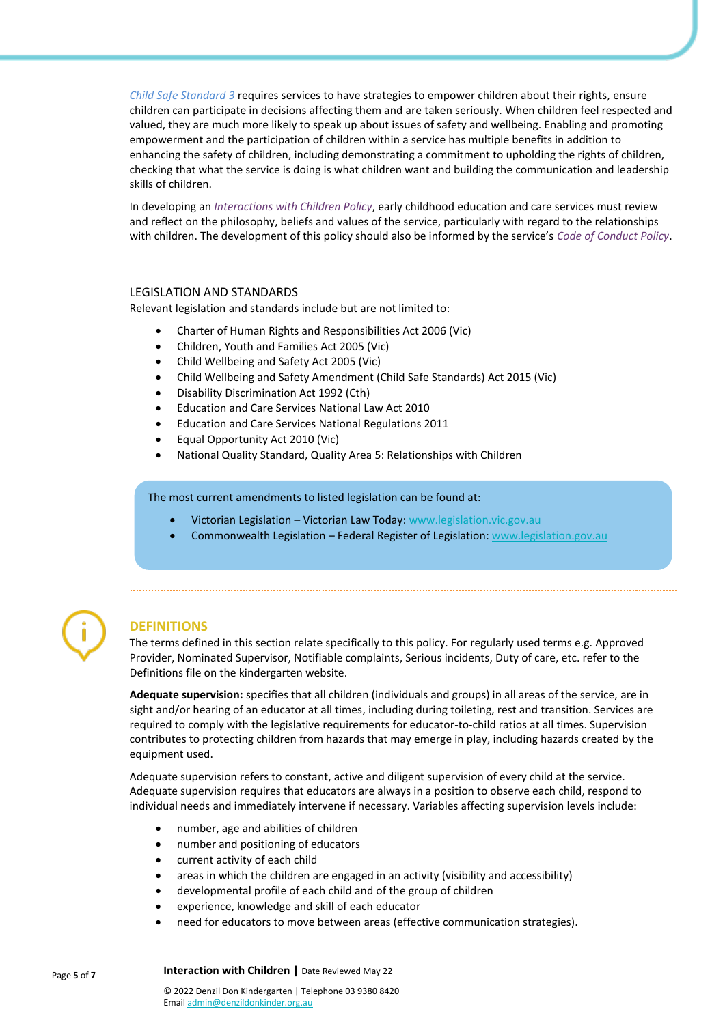*Child Safe Standard 3* requires services to have strategies to empower children about their rights, ensure children can participate in decisions affecting them and are taken seriously. When children feel respected and valued, they are much more likely to speak up about issues of safety and wellbeing. Enabling and promoting empowerment and the participation of children within a service has multiple benefits in addition to enhancing the safety of children, including demonstrating a commitment to upholding the rights of children, checking that what the service is doing is what children want and building the communication and leadership skills of children.

In developing an *Interactions with Children Policy*, early childhood education and care services must review and reflect on the philosophy, beliefs and values of the service, particularly with regard to the relationships with children. The development of this policy should also be informed by the service's *Code of Conduct Policy*.

#### LEGISLATION AND STANDARDS

Relevant legislation and standards include but are not limited to:

- Charter of Human Rights and Responsibilities Act 2006 (Vic)
- Children, Youth and Families Act 2005 (Vic)
- Child Wellbeing and Safety Act 2005 (Vic)
- Child Wellbeing and Safety Amendment (Child Safe Standards) Act 2015 (Vic)
- Disability Discrimination Act 1992 (Cth)
- Education and Care Services National Law Act 2010
- Education and Care Services National Regulations 2011
- Equal Opportunity Act 2010 (Vic)
- National Quality Standard, Quality Area 5: Relationships with Children

#### The most current amendments to listed legislation can be found at:

- Victorian Legislation Victorian Law Today: [www.legislation.vic.gov.au](http://www.legislation.vic.gov.au/)
- Commonwealth Legislation Federal Register of Legislation: [www.legislation.gov.au](http://www.legislation.gov.au/)



# **DEFINITIONS**

The terms defined in this section relate specifically to this policy. For regularly used terms e.g. Approved Provider, Nominated Supervisor, Notifiable complaints, Serious incidents, Duty of care, etc. refer to the Definitions file on the kindergarten website.

**Adequate supervision:** specifies that all children (individuals and groups) in all areas of the service, are in sight and/or hearing of an educator at all times, including during toileting, rest and transition. Services are required to comply with the legislative requirements for educator-to-child ratios at all times. Supervision contributes to protecting children from hazards that may emerge in play, including hazards created by the equipment used.

Adequate supervision refers to constant, active and diligent supervision of every child at the service. Adequate supervision requires that educators are always in a position to observe each child, respond to individual needs and immediately intervene if necessary. Variables affecting supervision levels include:

- number, age and abilities of children
- number and positioning of educators
- current activity of each child
- areas in which the children are engaged in an activity (visibility and accessibility)
- developmental profile of each child and of the group of children
- experience, knowledge and skill of each educator
- need for educators to move between areas (effective communication strategies).

Page **5** of **7 Interaction with Children** | Date Reviewed May 22

© 2022 Denzil Don Kindergarten | Telephone 03 9380 8420 Emai[l admin@denzildonkinder.org.au](mailto:admin@denzildonkinder.org.au)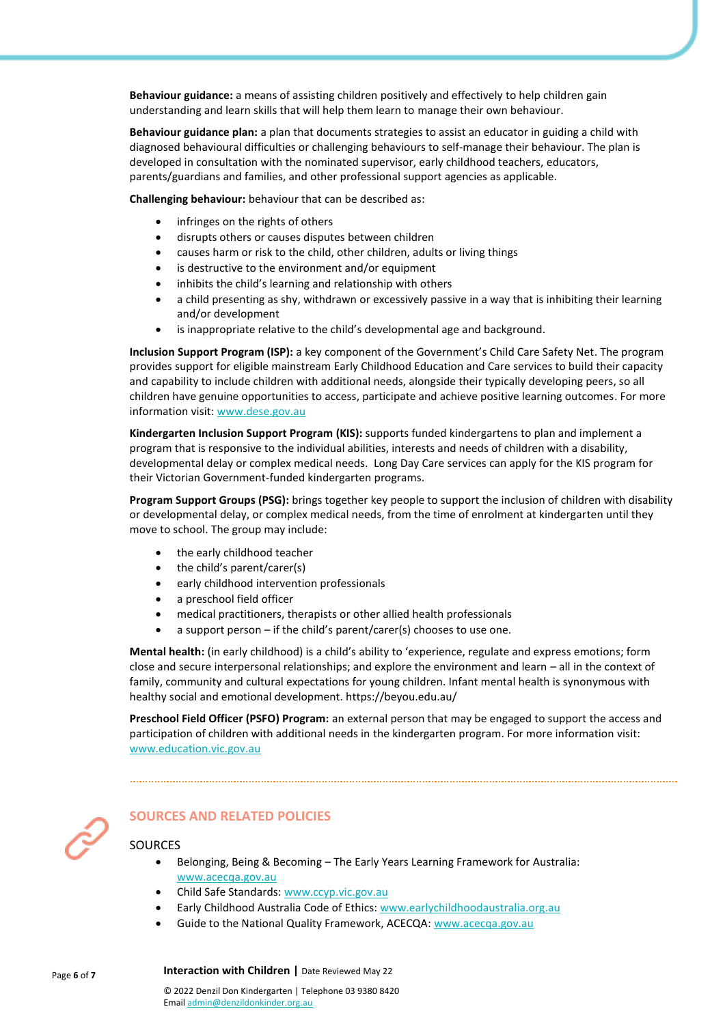**Behaviour guidance:** a means of assisting children positively and effectively to help children gain understanding and learn skills that will help them learn to manage their own behaviour.

**Behaviour guidance plan:** a plan that documents strategies to assist an educator in guiding a child with diagnosed behavioural difficulties or challenging behaviours to self-manage their behaviour. The plan is developed in consultation with the nominated supervisor, early childhood teachers, educators, parents/guardians and families, and other professional support agencies as applicable.

**Challenging behaviour:** behaviour that can be described as:

- infringes on the rights of others
- disrupts others or causes disputes between children
- causes harm or risk to the child, other children, adults or living things
- is destructive to the environment and/or equipment
- inhibits the child's learning and relationship with others
- a child presenting as shy, withdrawn or excessively passive in a way that is inhibiting their learning and/or development
- is inappropriate relative to the child's developmental age and background.

**Inclusion Support Program (ISP):** a key component of the Government's Child Care Safety Net. The program provides support for eligible mainstream Early Childhood Education and Care services to build their capacity and capability to include children with additional needs, alongside their typically developing peers, so all children have genuine opportunities to access, participate and achieve positive learning outcomes. For more information visit[: www.dese.gov.au](https://www.dese.gov.au/)

**Kindergarten Inclusion Support Program (KIS):** supports funded kindergartens to plan and implement a program that is responsive to the individual abilities, interests and needs of children with a disability, developmental delay or complex medical needs.Long Day Care services can apply for the KIS program for their Victorian Government-funded kindergarten programs.

**Program Support Groups (PSG):** brings together key people to support the inclusion of children with disability or developmental delay, or complex medical needs, from the time of enrolment at kindergarten until they move to school. The group may include:

- the early childhood teacher
- the child's parent/carer(s)
- early childhood intervention professionals
- a preschool field officer
- medical practitioners, therapists or other allied health professionals
- a support person if the child's parent/carer(s) chooses to use one.

**Mental health:** (in early childhood) is a child's ability to 'experience, regulate and express emotions; form close and secure interpersonal relationships; and explore the environment and learn – all in the context of family, community and cultural expectations for young children. Infant mental health is synonymous with healthy social and emotional development. https://beyou.edu.au/

**Preschool Field Officer (PSFO) Program:** an external person that may be engaged to support the access and participation of children with additional needs in the kindergarten program. For more information visit: [www.education.vic.gov.au](http://www.education.vic.gov.au/)



# **SOURCES AND RELATED POLICIES**

#### **SOURCES**

- Belonging, Being & Becoming The Early Years Learning Framework for Australia: [www.acecqa.gov.au](http://www.acecqa.gov.au/)
- Child Safe Standards[: www.ccyp.vic.gov.au](https://ccyp.vic.gov.au/)
- Early Childhood Australia Code of Ethics: [www.earlychildhoodaustralia.org.au](http://www.earlychildhoodaustralia.org.au/)
- Guide to the National Quality Framework, ACECQA: [www.acecqa.gov.au](http://www.acecqa.gov.au/)

**Interaction with Children** | Date Reviewed May 22

© 2022 Denzil Don Kindergarten | Telephone 03 9380 8420 Emai[l admin@denzildonkinder.org.au](mailto:admin@denzildonkinder.org.au)